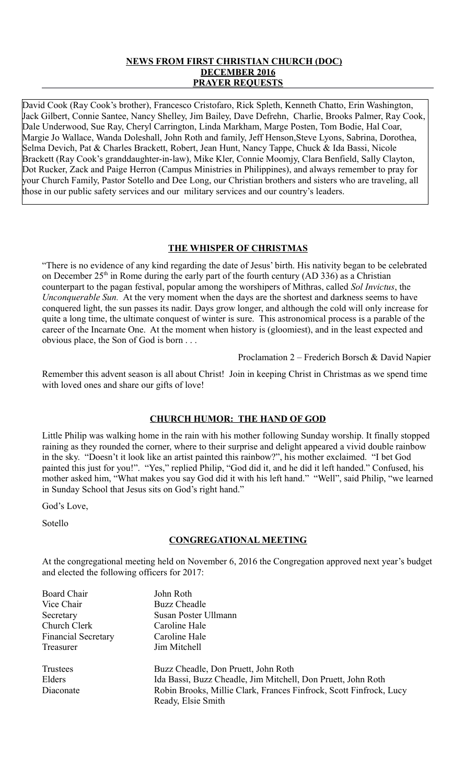# **NEWS FROM FIRST CHRISTIAN CHURCH (DOC) DECEMBER 2016 PRAYER REQUESTS**

David Cook (Ray Cook's brother), Francesco Cristofaro, Rick Spleth, Kenneth Chatto, Erin Washington, Jack Gilbert, Connie Santee, Nancy Shelley, Jim Bailey, Dave Defrehn, Charlie, Brooks Palmer, Ray Cook, Dale Underwood, Sue Ray, Cheryl Carrington, Linda Markham, Marge Posten, Tom Bodie, Hal Coar, Margie Jo Wallace, Wanda Doleshall, John Roth and family, Jeff Henson,Steve Lyons, Sabrina, Dorothea, Selma Devich, Pat & Charles Brackett, Robert, Jean Hunt, Nancy Tappe, Chuck & Ida Bassi, Nicole Brackett (Ray Cook's granddaughter-in-law), Mike Kler, Connie Moomjy, Clara Benfield, Sally Clayton, Dot Rucker, Zack and Paige Herron (Campus Ministries in Philippines), and always remember to pray for your Church Family, Pastor Sotello and Dee Long, our Christian brothers and sisters who are traveling, all those in our public safety services and our military services and our country's leaders.

# **THE WHISPER OF CHRISTMAS**

"There is no evidence of any kind regarding the date of Jesus' birth. His nativity began to be celebrated on December  $25<sup>th</sup>$  in Rome during the early part of the fourth century (AD 336) as a Christian counterpart to the pagan festival, popular among the worshipers of Mithras, called *Sol Invictus*, the *Unconquerable Sun.* At the very moment when the days are the shortest and darkness seems to have conquered light, the sun passes its nadir. Days grow longer, and although the cold will only increase for quite a long time, the ultimate conquest of winter is sure. This astronomical process is a parable of the career of the Incarnate One. At the moment when history is (gloomiest), and in the least expected and obvious place, the Son of God is born . . .

Proclamation 2 – Frederich Borsch & David Napier

Remember this advent season is all about Christ! Join in keeping Christ in Christmas as we spend time with loved ones and share our gifts of love!

# **CHURCH HUMOR: THE HAND OF GOD**

Little Philip was walking home in the rain with his mother following Sunday worship. It finally stopped raining as they rounded the corner, where to their surprise and delight appeared a vivid double rainbow in the sky. "Doesn't it look like an artist painted this rainbow?", his mother exclaimed. "I bet God painted this just for you!". "Yes," replied Philip, "God did it, and he did it left handed." Confused, his mother asked him, "What makes you say God did it with his left hand." "Well", said Philip, "we learned in Sunday School that Jesus sits on God's right hand."

God's Love,

Sotello

## **CONGREGATIONAL MEETING**

At the congregational meeting held on November 6, 2016 the Congregation approved next year's budget and elected the following officers for 2017:

| Board Chair                | John Roth                                                          |
|----------------------------|--------------------------------------------------------------------|
| Vice Chair                 | <b>Buzz Cheadle</b>                                                |
| Secretary                  | Susan Poster Ullmann                                               |
| Church Clerk               | Caroline Hale                                                      |
| <b>Financial Secretary</b> | Caroline Hale                                                      |
| Treasurer                  | Jim Mitchell                                                       |
| Trustees                   | Buzz Cheadle, Don Pruett, John Roth                                |
| Elders                     | Ida Bassi, Buzz Cheadle, Jim Mitchell, Don Pruett, John Roth       |
| Diaconate                  | Robin Brooks, Millie Clark, Frances Finfrock, Scott Finfrock, Lucy |
|                            | Ready, Elsie Smith                                                 |